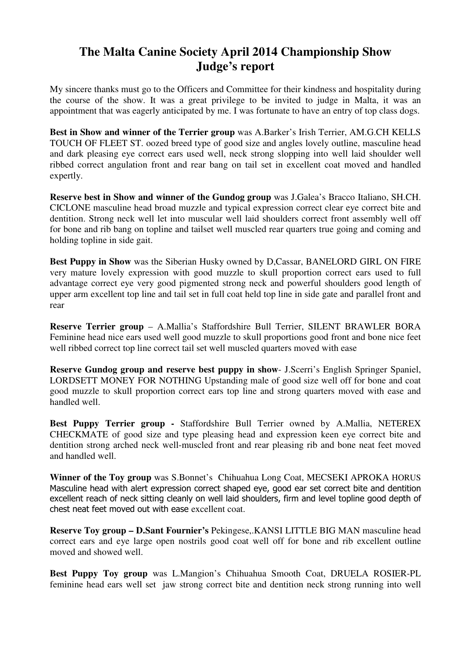## **The Malta Canine Society April 2014 Championship Show Judge's report**

My sincere thanks must go to the Officers and Committee for their kindness and hospitality during the course of the show. It was a great privilege to be invited to judge in Malta, it was an appointment that was eagerly anticipated by me. I was fortunate to have an entry of top class dogs.

**Best in Show and winner of the Terrier group** was A.Barker's Irish Terrier, AM.G.CH KELLS TOUCH OF FLEET ST. oozed breed type of good size and angles lovely outline, masculine head and dark pleasing eye correct ears used well, neck strong slopping into well laid shoulder well ribbed correct angulation front and rear bang on tail set in excellent coat moved and handled expertly.

**Reserve best in Show and winner of the Gundog group** was J.Galea's Bracco Italiano, SH.CH. CICLONE masculine head broad muzzle and typical expression correct clear eye correct bite and dentition. Strong neck well let into muscular well laid shoulders correct front assembly well off for bone and rib bang on topline and tailset well muscled rear quarters true going and coming and holding topline in side gait.

**Best Puppy in Show** was the Siberian Husky owned by D,Cassar, BANELORD GIRL ON FIRE very mature lovely expression with good muzzle to skull proportion correct ears used to full advantage correct eye very good pigmented strong neck and powerful shoulders good length of upper arm excellent top line and tail set in full coat held top line in side gate and parallel front and rear

**Reserve Terrier group** – A.Mallia's Staffordshire Bull Terrier, SILENT BRAWLER BORA Feminine head nice ears used well good muzzle to skull proportions good front and bone nice feet well ribbed correct top line correct tail set well muscled quarters moved with ease

**Reserve Gundog group and reserve best puppy in show**- J.Scerri's English Springer Spaniel, LORDSETT MONEY FOR NOTHING Upstanding male of good size well off for bone and coat good muzzle to skull proportion correct ears top line and strong quarters moved with ease and handled well.

**Best Puppy Terrier group -** Staffordshire Bull Terrier owned by A.Mallia, NETEREX CHECKMATE of good size and type pleasing head and expression keen eye correct bite and dentition strong arched neck well-muscled front and rear pleasing rib and bone neat feet moved and handled well.

**Winner of the Toy group** was S.Bonnet's Chihuahua Long Coat, MECSEKI APROKA HORUS Masculine head with alert expression correct shaped eye, good ear set correct bite and dentition excellent reach of neck sitting cleanly on well laid shoulders, firm and level topline good depth of chest neat feet moved out with ease excellent coat.

**Reserve Toy group – D.Sant Fournier's** Pekingese,.KANSI LITTLE BIG MAN masculine head correct ears and eye large open nostrils good coat well off for bone and rib excellent outline moved and showed well.

**Best Puppy Toy group** was L.Mangion's Chihuahua Smooth Coat, DRUELA ROSIER-PL feminine head ears well set jaw strong correct bite and dentition neck strong running into well